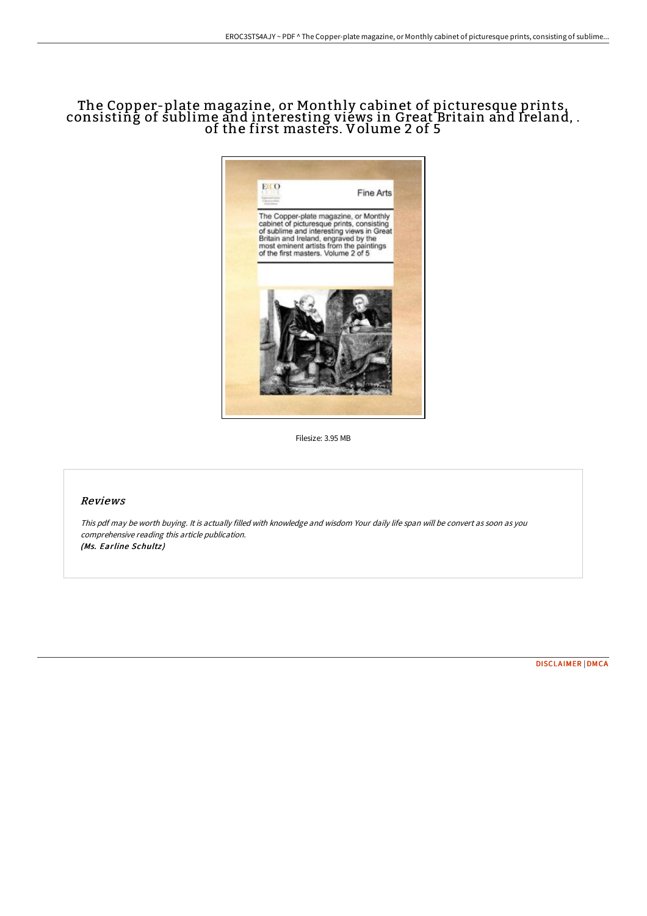# The Copper-plate magazine, or Monthly cabinet of picturesque prints, consisting of sublime and interesting views in Great Britain and Ireland, . of the first masters. Volume 2 of 5



Filesize: 3.95 MB

### Reviews

This pdf may be worth buying. It is actually filled with knowledge and wisdom Your daily life span will be convert as soon as you comprehensive reading this article publication. (Ms. Earline Schultz)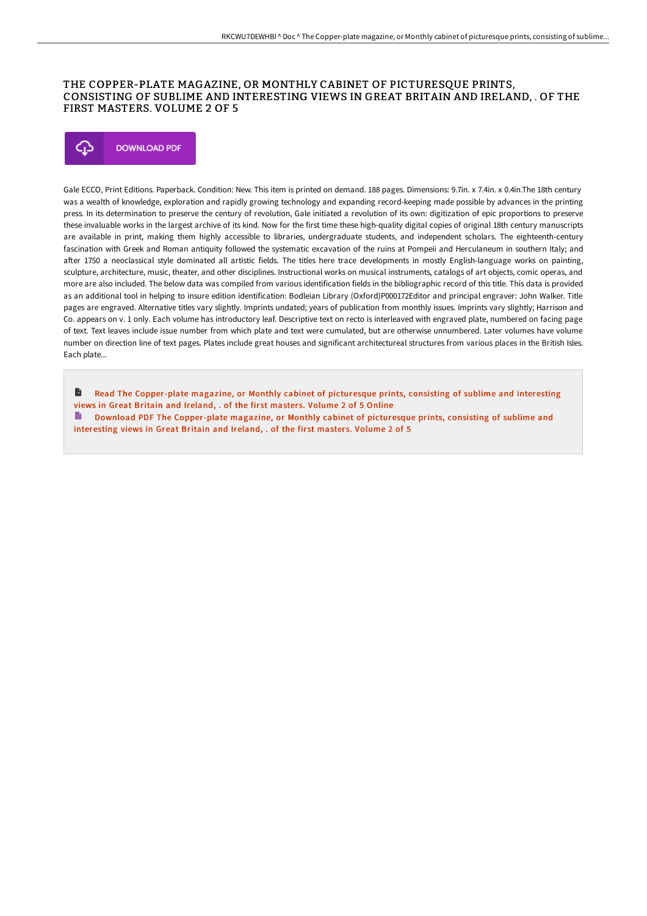#### THE COPPER-PLATE MAGAZINE, OR MONTHLY CABINET OF PICTURESQUE PRINTS, CONSISTING OF SUBLIME AND INTERESTING VIEWS IN GREAT BRITAIN AND IRELAND, . OF THE FIRST MASTERS. VOLUME 2 OF 5



Gale ECCO, Print Editions. Paperback. Condition: New. This item is printed on demand. 188 pages. Dimensions: 9.7in. x 7.4in. x 0.4in.The 18th century was a wealth of knowledge, exploration and rapidly growing technology and expanding record-keeping made possible by advances in the printing press. In its determination to preserve the century of revolution, Gale initiated a revolution of its own: digitization of epic proportions to preserve these invaluable works in the largest archive of its kind. Now for the first time these high-quality digital copies of original 18th century manuscripts are available in print, making them highly accessible to libraries, undergraduate students, and independent scholars. The eighteenth-century fascination with Greek and Roman antiquity followed the systematic excavation of the ruins at Pompeii and Herculaneum in southern Italy; and after 1750 a neoclassical style dominated all artistic fields. The titles here trace developments in mostly English-language works on painting, sculpture, architecture, music, theater, and other disciplines. Instructional works on musical instruments, catalogs of art objects, comic operas, and more are also included. The below data was compiled from various identification fields in the bibliographic record of this title. This data is provided as an additional tool in helping to insure edition identification: Bodleian Library (Oxford)P000172Editor and principal engraver: John Walker. Title pages are engraved. Alternative titles vary slightly. Imprints undated; years of publication from monthly issues. Imprints vary slightly; Harrison and Co. appears on v. 1 only. Each volume has introductory leaf. Descriptive text on recto is interleaved with engraved plate, numbered on facing page of text. Text leaves include issue number from which plate and text were cumulated, but are otherwise unnumbered. Later volumes have volume number on direction line of text pages. Plates include great houses and significant architectureal structures from various places in the British Isles. Each plate...

 $\blacktriangleright$ Read The [Copper-plate](http://albedo.media/the-copper-plate-magazine-or-monthly-cabinet-of--1.html) magazine, or Monthly cabinet of picturesque prints, consisting of sublime and interesting views in Great Britain and Ireland, . of the first masters. Volume 2 of 5 Online Download PDF The [Copper-plate](http://albedo.media/the-copper-plate-magazine-or-monthly-cabinet-of--1.html) magazine, or Monthly cabinet of picturesque prints, consisting of sublime and interesting views in Great Britain and Ireland, . of the first masters. Volume 2 of 5